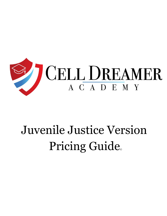

# Juvenile Justice Version Pricing Guide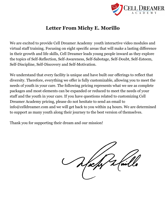

# **Letter From Michy E. Morillo**

We are excited to provide Cell Dreamer Academy youth interactive video modules and virtual staff training. Focusing on eight specific areas that will make a lasting difference in their growth and life skills, Cell Dreamer leads young people inward as they explore the topics of Self-Reflection, Self-Awareness, Self-Sabotage, Self-Doubt, Self-Esteem, Self-Discipline, Self-Discovery and Self-Motivation.

We understand that every facility is unique and have built our offerings to reflect that diversity. Therefore, everything we offer is fully customizable, allowing you to meet the needs of youth in your care. The following pricing represents what we see as complete packages and most elements can be expanded or reduced to meet the needs of your staff and the youth in your care. If you have questions related to customizing Cell Dreamer Academy pricing, please do not hesitate to send an email to info@celldreamer.com and we will get back to you within 24 hours. We are determined to support as many youth along their journey to the best version of themselves.

Thank you for supporting their dream and our mission!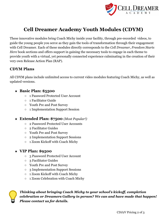

# **Cell Dreamer Academy Youth Modules (CDYM)**

These innovative modules bring Coach Michy inside your facility, through pre-recorded videos, to guide the young people you ser*v*e as they gain the tools of transformation through their engagement with Cell Dreamer. Each of these modules directly corresponds to the *Cell Dreamer, Freedom Starts Here* book sections and offers support in gaining the necessary tools to engage in each theme to provide youth with a virtual, yet personally connected experience culminating in the creation of their very own Release Action Plan (RAP).

#### **CDYM Plans**

All CDYM plans include unlimited access to current video modules featuring Coach Michy, as well as updated versions.

#### ★ **Basic Plan: \$5500**

- 1 Password Protected User Account
- 1 Facilitator Guide
- Youth Pre and Post Survey
- 1 Implementation Support Session

#### ★ **Extended Plan: \$7500** *(Most Popular!)*

- 2 Password Protected User Accounts
- 2 Facilitator Guides
- Youth Pre and Post Survey
- 2 Implementation Support Sessions
- 1 Zoom Kickoff with Coach Michy

## ★ **VIP Plan: \$9500**

- 3 Password Protected User Account
- 3 Facilitator Guides
- Youth Pre and Post Survey
- 3 Implementation Support Sessions
- 1 Zoom Kickoff with Coach Michy
- 1 Zoom Celebration with Coach Michy



*Thinking about bringing Coach Michy to your school's kickoff, completion celebration or Dreamers Gallery in person? We can and have made that happen! Please contact us for details.*